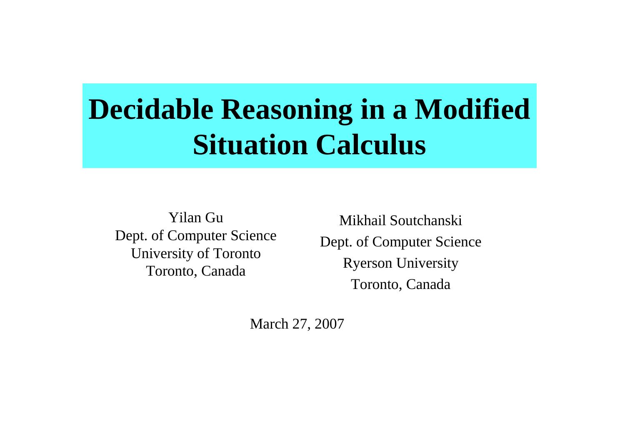# **Decidable Reasoning in <sup>a</sup> Modified Situation Calculus**

Yilan Gu Dept. of Computer Science University of Toronto Toronto, Canada

Mikhail Soutchanski Dept. of Computer Science Ryerson University Toronto, Canada

March 27, 2007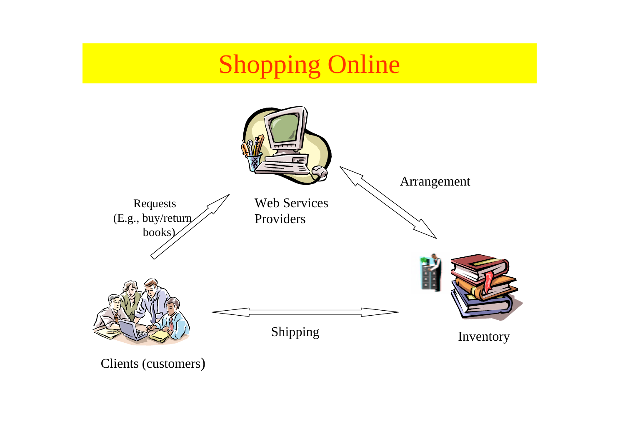## **Shopping Online**



Clients (customers)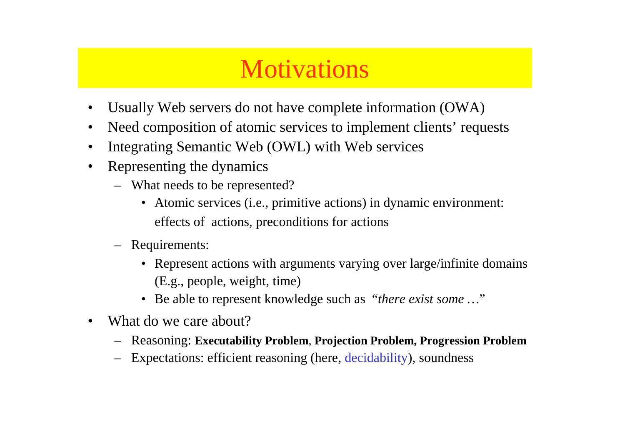#### **Motivations**

- •Usually Web servers do not have complete information (OWA)
- •• Need composition of atomic services to implement clients' requests
- •Integrating Semantic Web (OWL) with Web services
- • Representing the dynamics
	- What needs to be represented?
		- Atomic services (i.e., primitive actions) in dynamic environment: effects of actions, preconditions for actions
	- Requirements:
		- Represent actions with arguments varying over large/infinite domains (E.g., people, weight, time)
		- Be able to represen<sup>t</sup> knowledge such as "*there exist some …*"
- •• What do we care about?
	- –Reasoning: **Executability Problem**, **Projection Problem, Progression Problem**
	- –Expectations: efficient reasoning (here, decidability), soundness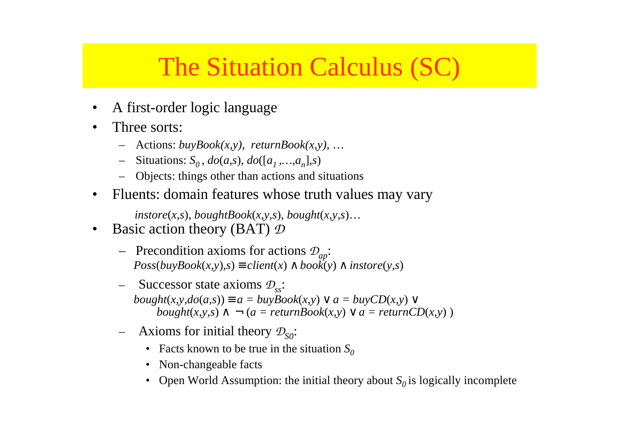#### The Situation Calculus (SC)

- •A first-order logic language
- •• Three sorts:
	- Actions: *buyBook(x,y), returnBook(x,y),* …
	- – $-$  Situations:  $S_0$ ,  $do(a,s)$ ,  $do([a_1,...,a_n],s)$
	- Objects: things other than actions and situations
- $\bullet$ Fluents: domain features whose truth values may vary

 $instore(x, s), boughtBook(x, y, s), bought(x, y, s)$ …

- •• Basic action theory (BAT)  $\mathcal D$ 
	- Precondition axioms for actions *<sup>D</sup>ap*:  $Poss(buyBook(x, y), s) \equiv client(x) \wedge book(y) \wedge instructor(y, s)$
	- Successor state axioms *<sup>D</sup>ss*:  $bought(x, y, do(a, s)) \equiv a = buyBook(x, y) \lor a = buyCD(x, y) \lor a$  $bought(x, y, s) \land \neg (a = returnBook(x, y) \lor a = returnCD(x, y))$
	- Axioms for initial theory  $\mathcal{D}_{\text{SO}}$ :
		- Facts known to be true in the situation  $S_0$
		- Non-changeable facts
		- Open World Assumption: the initial theory about  $S_0$  is logically incomplete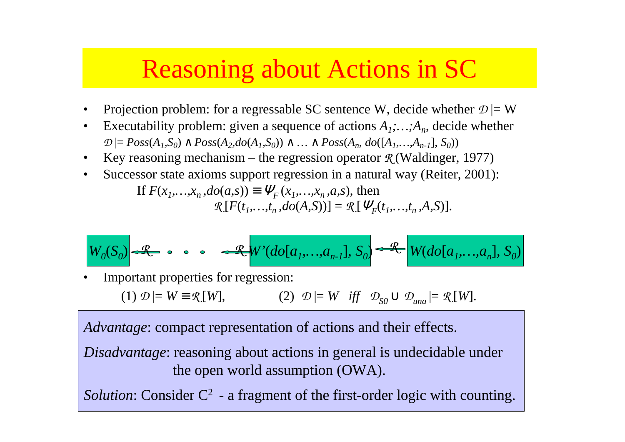#### Reasoning about Actions in SC

- •Projection problem: for a regressable SC sentence W, decide whether  $\mathcal{D}$  |= W
- •Executability problem: given a sequence of actions  $A_1$ ;  $\ldots$ ;  $A_n$ , decide whether  $D$  |=  $Poss(A_1, S_0)$  ∧  $Poss(A_2, do(A_1, S_0))$  ∧ … ∧  $Poss(A_n, do([A_1, ..., A_{n-1}], S_0))$
- •Key reasoning mechanism – the regression operator *R* (Waldinger, 1977)
- •Successor state axioms suppor<sup>t</sup> regression in <sup>a</sup> natural way (Reiter, 2001):

If  $F(x_1, ..., x_n, do(a, s)) \equiv \Psi_F(x_1, ..., x_n, a, s)$ , then  $\mathcal{R}[F(t_1,...,t_n,do(A,S))] = \mathcal{R}[\Psi_F(t_1,...,t_n,A,S)].$ 

$$
W_0(S_0) \xrightarrow{R} \bullet \bullet \bullet \bullet \xrightarrow{R} W'(do[a_1, \ldots, a_{n-1}], S_0) \xrightarrow{R} W(do[a_1, \ldots, a_n], S_0)
$$

•Important properties for regression:

(1) 
$$
\mathcal{D} \models W \equiv \mathcal{R}[W]
$$
,   
(2)  $\mathcal{D} \models W$  iff  $\mathcal{D}_{SO} \cup \mathcal{D}_{una} \models \mathcal{R}[W]$ .

*Advantage*: compac<sup>t</sup> representation of actions and their effects.

*Disadvantage*: reasoning about actions in general is undecidable under the open world assumption (OWA).

*Solution*: Consider C<sup>2</sup> - a fragment of the first-order logic with counting.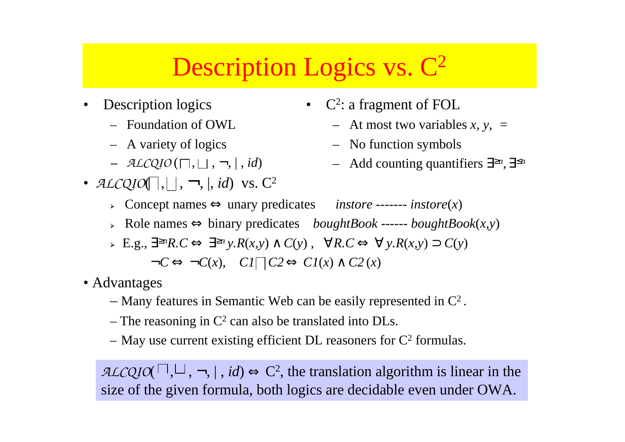## Description Logics vs.  $\mathbb{C}^2$

- • Description logics
	- Foundation of OWL
	- A variety of logics
	- *− ALCQIO* (□, □ , ¬, | , *id*)
- $ALCQIO\Box, \Box, \neg, \vert, id)$  vs.  $C^2$
- C<sup>2</sup>: a fragment of FOL
	- At most two variables *x, y, <sup>=</sup>*
	- No function symbols
	- Add counting quantifiers ∃≥*n,* ∃≤*<sup>n</sup>*
- Concept names <sup>⇔</sup> unary predicates *instore* ------- *instore*(*x*)
- Role names ⇔ binary predicates *boughtBook* ------ *boughtBook*(*x,y*)
- E.g., ∃≥*nR.C* <sup>⇔</sup> ∃≥*<sup>n</sup> y.R*(*x,y*) <sup>∧</sup> *C*(*y*) , ∀*R.C* <sup>⇔</sup> ∀ *y.R*(*x,y*) <sup>⊃</sup> *C*(*y*)  $\neg C \Leftrightarrow \neg C(x)$ ,  $CI \Box C2 \Leftrightarrow CI(x) \wedge C2(x)$
- Advantages
	- Many features in Semantic Web can be easily represented in  $\mathbb{C}^2$ .
	- The reasoning in  $C^2$  can also be translated into DLs.
	- May use current existing efficient DL reasoners for  $C^2$  formulas.

*ALCQIO*( , , <sup>¬</sup>, | , *id*) <sup>⇔</sup> C2, the translation algorithm is linear in the size of the given formula, both logics are decidable even under OWA.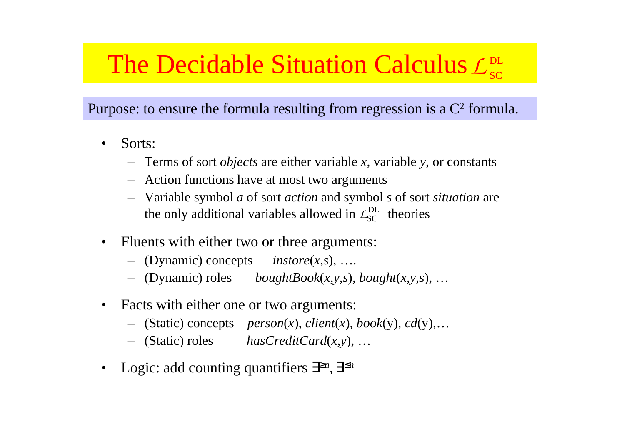#### The Decidable Situation Calculus  $\mathcal{L}^{\text{\tiny{DL}}}_{\text{\tiny{SC}}}$

Purpose: to ensure the formula resulting from regression is a  $C<sup>2</sup>$  formula.

- • Sorts:
	- Terms of sort *objects* are either variable *<sup>x</sup>*, variable *y*, or constants
	- Action functions have at most two arguments
	- Variable symbol *<sup>a</sup>* of sort *action* and symbol *<sup>s</sup>* of sort *situation* are the only additional variables allowed in  $\mathcal{L}_{SC}^{DL}$  theories
- •• Fluents with either two or three arguments:
	- (Dynamic) concepts *instore*(*x,s*), ….
	- (Dynamic) roles *boughtBook*(*x,y,s*)*, bought*(*x,y,s*), …
- •• Facts with either one or two arguments:
	- (Static) concepts *person*(*x*), *client*(*x*), *book*(y), *cd*(y),…
	- (Static) roles *hasCreditCard*(*x,y*), …
- •Logic: add counting quantifiers ∃≥*n,* ∃≤*<sup>n</sup>*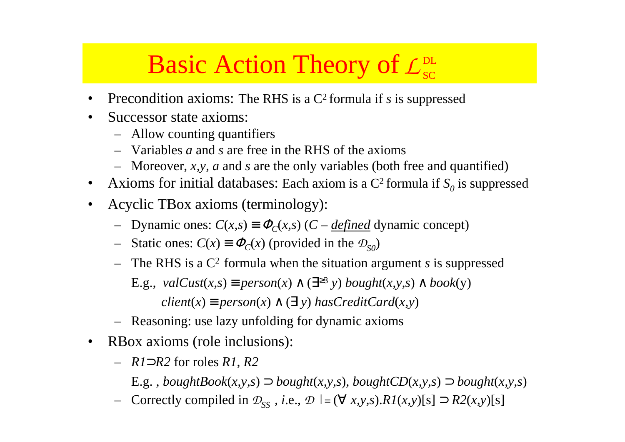## **Basic Action Theory of**  $\mathcal{L}_{\text{sc}}^{\text{DL}}$

- •• Precondition axioms: The RHS is a C<sup>2</sup> formula if *s* is suppressed
- $\bullet$ • Successor state axioms:
	- Allow counting quantifiers
	- Variables *<sup>a</sup>* and *<sup>s</sup>* are free in the RHS of the axioms
	- Moreover, *x,y, <sup>a</sup>* and *<sup>s</sup>* are the only variables (both free and quantified)
- $\bullet$ • Axioms for initial databases: Each axiom is a  $C^2$  formula if  $S_0$  is suppressed
- $\bullet$  Acyclic TBox axioms (terminology):
	- $−$  Dynamic ones:  $C(x,s) \equiv \Phi_C(x,s)$  (*C defined* dynamic concept)
	- − Static ones:  $C(x) \equiv \Phi_C(x)$  (provided in the  $\mathcal{D}_{S_0}$ )
	- – The RHS is <sup>a</sup> C2 formula when the situation argumen<sup>t</sup> *<sup>s</sup>* is suppressed E.g.,  $valCust(x, s) \equiv person(x) \land (\exists^{\geq 3} y) \; bought(x, y, s) \land \text{book}(y)$

 $client(x) \equiv person(x) \land (\exists y) \text{ hasCreditCard(x,y)}$ 

- Reasoning: use lazy unfolding for dynamic axioms
- $\bullet$ • RBox axioms (role inclusions):
	- *R1*⊃*R2* for roles *R1*, *R2*
		- E.g. *, boughtBook*(*x,y,s*) <sup>⊃</sup> *bought*(*x,y,s*)*, boughtCD*(*x,y,s*) <sup>⊃</sup> *bought*(*x,y,s*)
	- Correctly compiled in *<sup>D</sup>SS , <sup>i</sup>*.e., *<sup>D</sup> |=* (<sup>∀</sup> *x,y,s*).*R1*(*x,y*)[s] <sup>⊃</sup> *R2*(*x,y*)[s]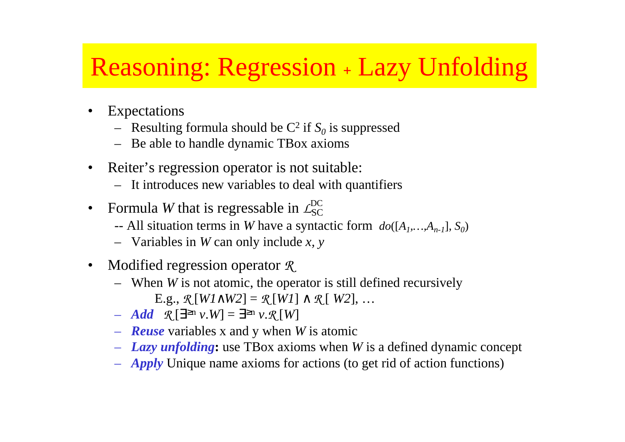## Reasoning: Regression **<sup>+</sup>** Lazy Unfolding

- • Expectations
	- $-$  Resulting formula should be  $C^2$  if  $S_0$  is suppressed
	- Be able to handle dynamic TBox axioms
- •• Reiter's regression operator is not suitable:
	- It introduces new variables to deal with quantifiers
- Formula *W* that is regressable in  $L_{SC}^{DC}$ •
	- -- All situation terms in *W* have a syntactic form  $do([A_1, ..., A_{n-1}], S_0)$
	- Variables in *W* can only include *x, y*
- • Modified regression operator *R*
	- When *W* is not atomic, the operator is still defined recursively E.g., *R* [*W1*∧*W2*] <sup>=</sup> *R* [*W1*] <sup>∧</sup> *R* [ *W2*], …
	- *Add R* [∃≥<sup>n</sup> *<sup>v</sup>*.*W*] <sup>=</sup> ∃≥<sup>n</sup> *<sup>v</sup>*.*R* [*W*]
	- *Reuse* variables <sup>x</sup> and y when *W* is atomic
	- *Lazy unfolding***:** use TBox axioms when *W* is <sup>a</sup> defined dynamic concep<sup>t</sup>
	- *Apply* Unique name axioms for actions (to ge<sup>t</sup> rid of action functions)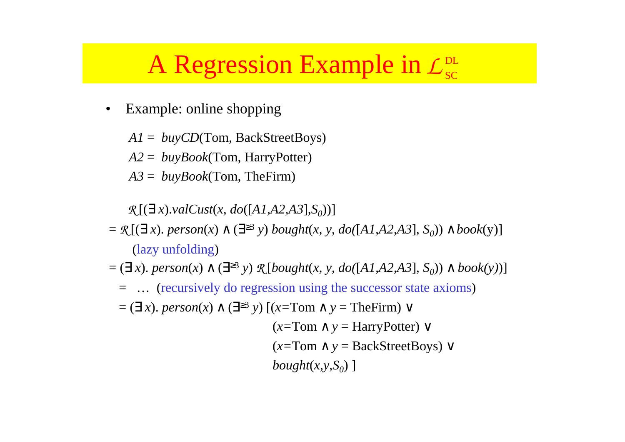#### A Regression Example in  $\mathcal{L}_{\text{sc}}^{\text{DL}}$

•Example: online shopping

*A1* <sup>=</sup> *buyCD*(Tom, BackStreetBoys)

*A2* <sup>=</sup> *buyBook*(Tom, HarryPotter)

*A3* <sup>=</sup> *buyBook*(Tom, TheFirm)

 $\mathcal{R}$   $[(\exists x).\mathit{valCust}(x, \mathit{do}([A1,A2,A3],S_0))]$ 

- $= \mathcal{R}[(\exists x)$ .  $person(x) \land (\exists^{\geq 3} y)$   $bought(x, y, do([A1, A2, A3], S_0)) \land book(y)]$ (lazy unfolding)
- = (∃ *<sup>x</sup>*). *person*(*x*) <sup>∧</sup> (∃≥<sup>3</sup> *<sup>y</sup>*) *R* [*bought*(*x, y, do(*[*A1,A2,A3*], *S0*)) <sup>∧</sup> *book(y)*)]
	- = … (recursively do regression using the successor state axioms)
	- = (∃ *<sup>x</sup>*). *person*(*x*) <sup>∧</sup> (∃≥<sup>3</sup> *<sup>y</sup>*) [(*x=*Tom <sup>∧</sup> *<sup>y</sup>* <sup>=</sup> TheFirm) <sup>∨</sup>

(*x=*Tom <sup>∧</sup> *y* <sup>=</sup> HarryPotter) <sup>∨</sup> (*x=*Tom <sup>∧</sup> *y* <sup>=</sup> BackStreetBoys) <sup>∨</sup> *bought* $(x, y, S_0)$ ]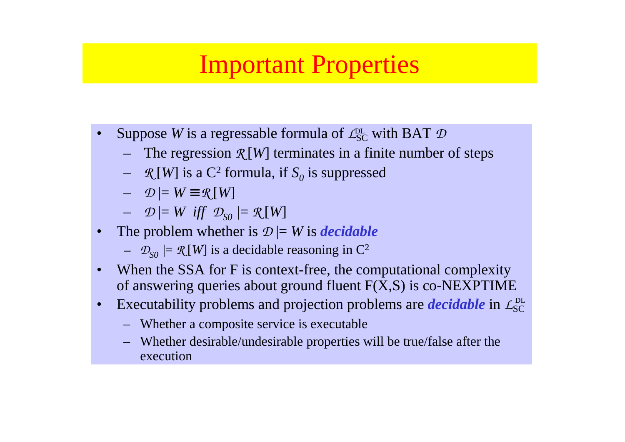#### Important Properties

- •• Suppose *W* is a regressable formula of  $\mathcal{L}_{SC}^{DL}$  with BAT  $\mathcal D$ 
	- The regression *R* [*W*] terminates in <sup>a</sup> finite number of steps
	- $\mathcal{R}[W]$  is a C<sup>2</sup> formula, if  $S_0$  is suppressed
	- $\mathcal{D}$   $\models$   $W \equiv \mathcal{R}[W]$
	- $-$  D  $\models$  W iff D<sub>SO</sub>  $\models$  R[W]
- • The problem whether is *<sup>D</sup>* |= *W* is *decidable*
	- *–*  $\mathcal{D}_{\text{SO}}$   $\models \mathcal{R}$  [*W*] is a decidable reasoning in C<sup>2</sup>
- •• When the SSA for F is context-free, the computational complexity of answering queries about ground fluent F(X,S) is co*-*NEXPTIME
- •Executability problems and projection problems are *decidable* in  $L_{SC}^{DL}$ 
	- Whether <sup>a</sup> composite service is executable
	- Whether desirable/undesirable properties will be true/false after the execution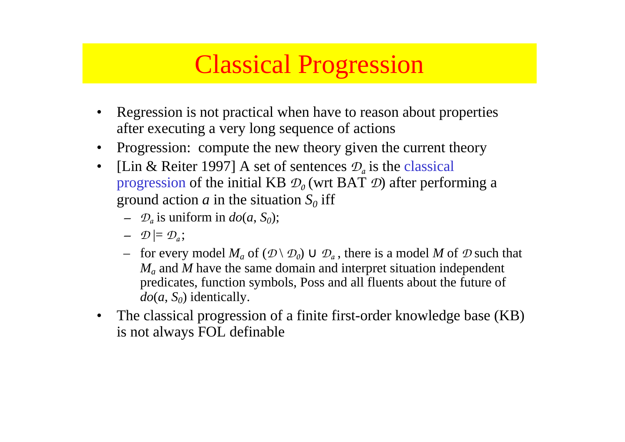#### Classical Progression

- • Regression is not practical when have to reason about properties after executing <sup>a</sup> very long sequence of actions
- •Progression: compute the new theory given the current theory
- •• [Lin & Reiter 1997] A set of sentences  $\mathcal{D}_a$  is the classical progression of the initial KB  $\mathcal{D}_0$  (wrt BAT  $\mathcal{D}$ ) after performing a ground action  $a$  in the situation  $S_0$  iff
	- $\mathcal{D}_a$  is uniform in  $do(a, S_0);$
	- $\mathcal{D} \models \mathcal{D}_a;$
	- $−$  for every model  $M_a$  of  $(\mathcal{D} \setminus \mathcal{D}_0) \cup \mathcal{D}_a$  , there is a model M of  $\mathcal D$  such that *Ma* and *M* have the same domain and interpret situation independent predicates, function symbols, Poss and all fluents about the future of  $do(a, S_0)$  identically.
- $\bullet$  The classical progression of <sup>a</sup> finite first-order knowledge base (KB) is not always FOL definable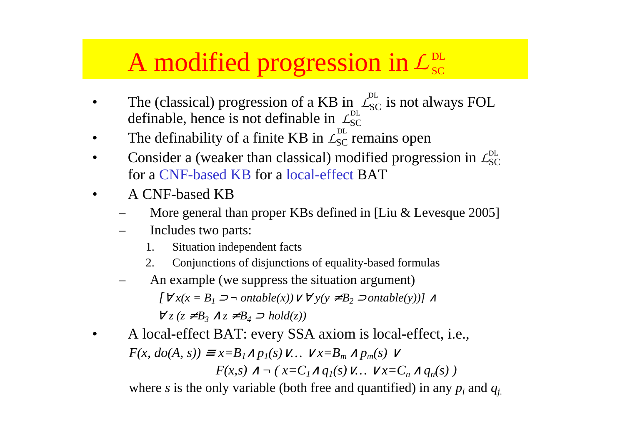#### A modified progression in  $\mathcal{L}_{\text{sc}}^{\text{DL}}$

- •• The (classical) progression of a KB in  $\mathcal{L}_{SC}^{DL}$  is not always FOL definable, hence is not definable in  $\mathcal{L}^{\text{BL}}_{\text{SC}}$ DL
- •• The definability of a finite KB in  $L_{SC}^{DL}$  remains open
- •Consider a (weaker than classical) modified progression in  $\mathcal{L}_{SC}^{DL}$ for a CNF-based KB for <sup>a</sup> local-effect BAT
- •• A CNF-based KB
	- –More general than proper KBs defined in [Liu & Levesque 2005]
	- – Includes two parts:
		- 1.Situation independent facts
		- 2.Conjunctions of disjunctions of equality-based formulas
	- – An example (we suppress the situation argument)  $[∀x(x = B<sub>1</sub> ⊃ ¬ ontable(x)) ∨ ∀y(y ≠ B<sub>2</sub> ⊃ ontable(y))] ∧$

 $\forall z (z \neq B_3 \land z \neq B_4 \supset hold(z))$ 

• A local-effect BAT: every SSA axiom is local-effect, i.e.,  $F(x, do(A, s)) \equiv x = B_1 \wedge p_1(s) \vee ... \vee x = B_m \wedge p_m(s) \vee ...$ *F*(*x,s*) ∧ ¬ ( *x*=*C*<sub>*I*</sub>∧ *q*<sub>*I*</sub>(*s*) ∨…  $\vee$ *x*=*C*<sub>*n*</sub> ∧ *q*<sub>*n*</sub>(*s*) )

where *<sup>s</sup>* is the only variable (both free and quantified) in any *pi* and *qj.*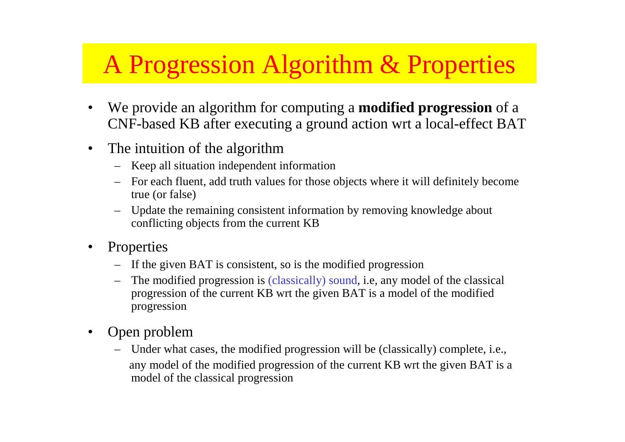## A Progression Algorithm & Properties

- • We provide an algorithm for computing <sup>a</sup> **modified progression** of <sup>a</sup> CNF-based KB after executing <sup>a</sup> ground action wrt <sup>a</sup> local-effect BAT
- $\bullet$ • The intuition of the algorithm
	- –Keep all situation independent information
	- For each fluent, add truth values for those objects where it will definitely become true (or false)
	- Update the remaining consistent information by removing knowledge about conflicting objects from the current KB
- •**Properties** 
	- If the given BAT is consistent, so is the modified progression
	- – The modified progression is (classically) sound, i.e, any model of the classical progression of the current KB wrt the given BAT is <sup>a</sup> model of the modified progression
- • Open problem
	- – Under what cases, the modified progression will be (classically) complete, i.e., any model of the modified progression of the current KB wrt the given BAT is <sup>a</sup> model of the classical progression